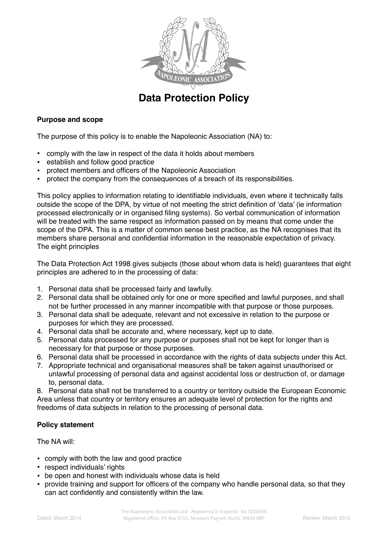

# **Data Protection Policy**

# **Purpose and scope**

The purpose of this policy is to enable the Napoleonic Association (NA) to:

- comply with the law in respect of the data it holds about members
- establish and follow good practice
- protect members and officers of the Napoleonic Association
- protect the company from the consequences of a breach of its responsibilities.

This policy applies to information relating to identifiable individuals, even where it technically falls outside the scope of the DPA, by virtue of not meeting the strict definition of 'data' (ie information processed electronically or in organised filing systems). So verbal communication of information will be treated with the same respect as information passed on by means that come under the scope of the DPA. This is a matter of common sense best practice, as the NA recognises that its members share personal and confidential information in the reasonable expectation of privacy. The eight principles

The Data Protection Act 1998 gives subjects (those about whom data is held) guarantees that eight principles are adhered to in the processing of data:

- 1. Personal data shall be processed fairly and lawfully.
- 2. Personal data shall be obtained only for one or more specified and lawful purposes, and shall not be further processed in any manner incompatible with that purpose or those purposes.
- 3. Personal data shall be adequate, relevant and not excessive in relation to the purpose or purposes for which they are processed.
- 4. Personal data shall be accurate and, where necessary, kept up to date.
- 5. Personal data processed for any purpose or purposes shall not be kept for longer than is necessary for that purpose or those purposes.
- 6. Personal data shall be processed in accordance with the rights of data subjects under this Act.
- 7. Appropriate technical and organisational measures shall be taken against unauthorised or unlawful processing of personal data and against accidental loss or destruction of, or damage to, personal data.

8. Personal data shall not be transferred to a country or territory outside the European Economic Area unless that country or territory ensures an adequate level of protection for the rights and freedoms of data subjects in relation to the processing of personal data.

# **Policy statement**

The NA will:

- comply with both the law and good practice
- respect individuals' rights
- be open and honest with individuals whose data is held
- provide training and support for officers of the company who handle personal data, so that they can act confidently and consistently within the law.